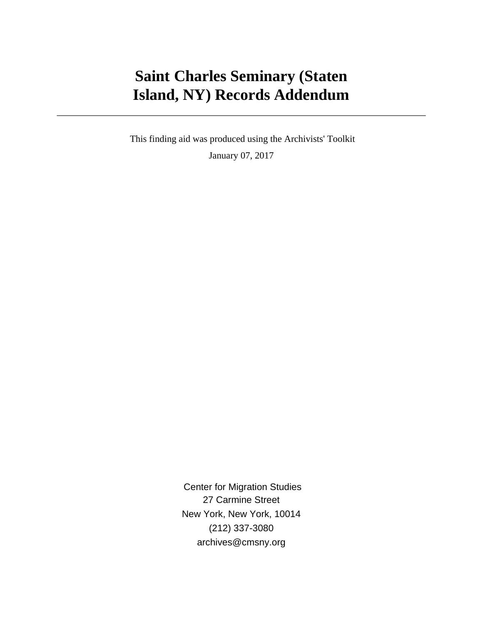# **Saint Charles Seminary (Staten Island, NY) Records Addendum**

 This finding aid was produced using the Archivists' Toolkit January 07, 2017

> Center for Migration Studies 27 Carmine Street New York, New York, 10014 (212) 337-3080 archives@cmsny.org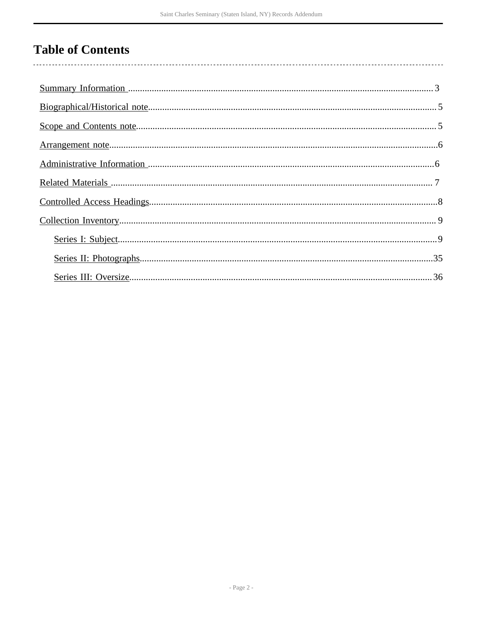# **Table of Contents**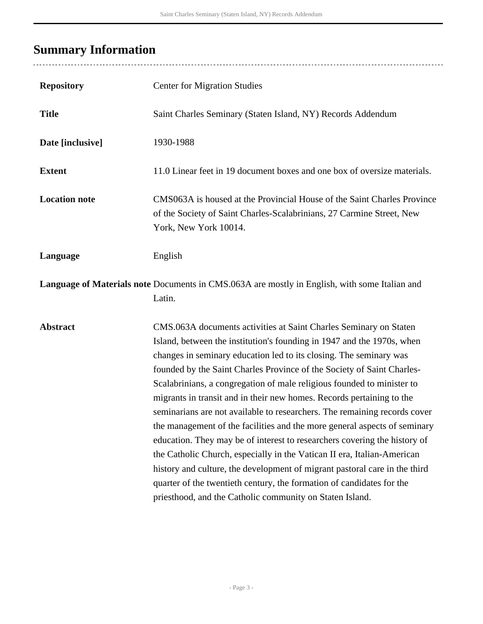# <span id="page-2-0"></span>**Summary Information**

| <b>Repository</b>    | <b>Center for Migration Studies</b>                                                                                                                                                                                                                                                                                                                                                                                                                                                                                                                                                                                                                                                                                                                                                                                                                                                                                                                                                 |
|----------------------|-------------------------------------------------------------------------------------------------------------------------------------------------------------------------------------------------------------------------------------------------------------------------------------------------------------------------------------------------------------------------------------------------------------------------------------------------------------------------------------------------------------------------------------------------------------------------------------------------------------------------------------------------------------------------------------------------------------------------------------------------------------------------------------------------------------------------------------------------------------------------------------------------------------------------------------------------------------------------------------|
| <b>Title</b>         | Saint Charles Seminary (Staten Island, NY) Records Addendum                                                                                                                                                                                                                                                                                                                                                                                                                                                                                                                                                                                                                                                                                                                                                                                                                                                                                                                         |
| Date [inclusive]     | 1930-1988                                                                                                                                                                                                                                                                                                                                                                                                                                                                                                                                                                                                                                                                                                                                                                                                                                                                                                                                                                           |
| <b>Extent</b>        | 11.0 Linear feet in 19 document boxes and one box of oversize materials.                                                                                                                                                                                                                                                                                                                                                                                                                                                                                                                                                                                                                                                                                                                                                                                                                                                                                                            |
| <b>Location note</b> | CMS063A is housed at the Provincial House of the Saint Charles Province<br>of the Society of Saint Charles-Scalabrinians, 27 Carmine Street, New<br>York, New York 10014.                                                                                                                                                                                                                                                                                                                                                                                                                                                                                                                                                                                                                                                                                                                                                                                                           |
| Language             | English                                                                                                                                                                                                                                                                                                                                                                                                                                                                                                                                                                                                                                                                                                                                                                                                                                                                                                                                                                             |
|                      | Language of Materials note Documents in CMS.063A are mostly in English, with some Italian and<br>Latin.                                                                                                                                                                                                                                                                                                                                                                                                                                                                                                                                                                                                                                                                                                                                                                                                                                                                             |
| <b>Abstract</b>      | CMS.063A documents activities at Saint Charles Seminary on Staten<br>Island, between the institution's founding in 1947 and the 1970s, when<br>changes in seminary education led to its closing. The seminary was<br>founded by the Saint Charles Province of the Society of Saint Charles-<br>Scalabrinians, a congregation of male religious founded to minister to<br>migrants in transit and in their new homes. Records pertaining to the<br>seminarians are not available to researchers. The remaining records cover<br>the management of the facilities and the more general aspects of seminary<br>education. They may be of interest to researchers covering the history of<br>the Catholic Church, especially in the Vatican II era, Italian-American<br>history and culture, the development of migrant pastoral care in the third<br>quarter of the twentieth century, the formation of candidates for the<br>priesthood, and the Catholic community on Staten Island. |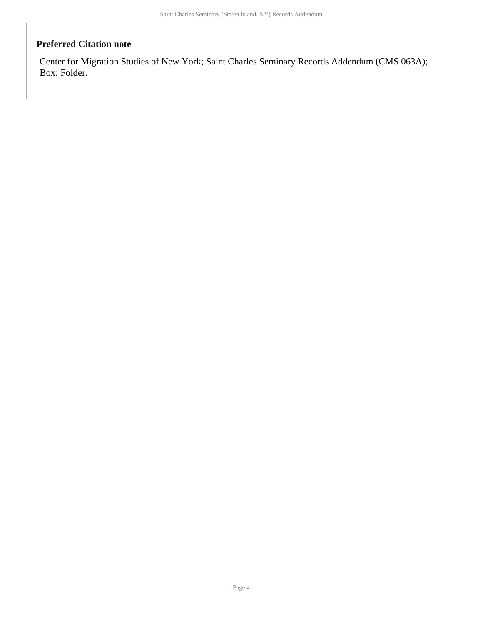## **Preferred Citation note**

Center for Migration Studies of New York; Saint Charles Seminary Records Addendum (CMS 063A); Box; Folder.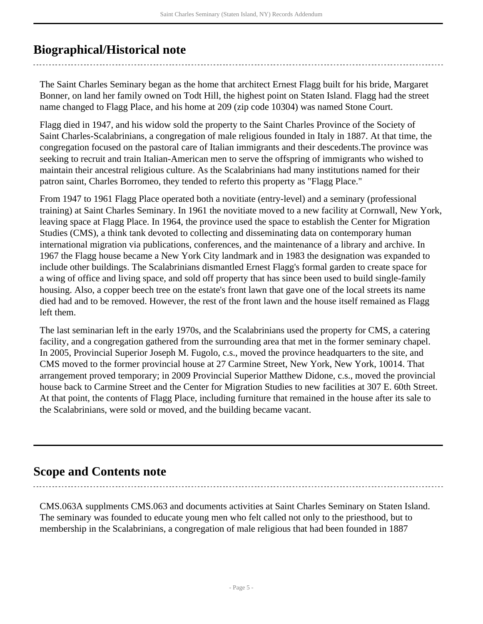## <span id="page-4-0"></span>**Biographical/Historical note**

The Saint Charles Seminary began as the home that architect Ernest Flagg built for his bride, Margaret Bonner, on land her family owned on Todt Hill, the highest point on Staten Island. Flagg had the street name changed to Flagg Place, and his home at 209 (zip code 10304) was named Stone Court.

Flagg died in 1947, and his widow sold the property to the Saint Charles Province of the Society of Saint Charles-Scalabrinians, a congregation of male religious founded in Italy in 1887. At that time, the congregation focused on the pastoral care of Italian immigrants and their descedents.The province was seeking to recruit and train Italian-American men to serve the offspring of immigrants who wished to maintain their ancestral religious culture. As the Scalabrinians had many institutions named for their patron saint, Charles Borromeo, they tended to referto this property as "Flagg Place."

From 1947 to 1961 Flagg Place operated both a novitiate (entry-level) and a seminary (professional training) at Saint Charles Seminary. In 1961 the novitiate moved to a new facility at Cornwall, New York, leaving space at Flagg Place. In 1964, the province used the space to establish the Center for Migration Studies (CMS), a think tank devoted to collecting and disseminating data on contemporary human international migration via publications, conferences, and the maintenance of a library and archive. In 1967 the Flagg house became a New York City landmark and in 1983 the designation was expanded to include other buildings. The Scalabrinians dismantled Ernest Flagg's formal garden to create space for a wing of office and living space, and sold off property that has since been used to build single-family housing. Also, a copper beech tree on the estate's front lawn that gave one of the local streets its name died had and to be removed. However, the rest of the front lawn and the house itself remained as Flagg left them.

The last seminarian left in the early 1970s, and the Scalabrinians used the property for CMS, a catering facility, and a congregation gathered from the surrounding area that met in the former seminary chapel. In 2005, Provincial Superior Joseph M. Fugolo, c.s., moved the province headquarters to the site, and CMS moved to the former provincial house at 27 Carmine Street, New York, New York, 10014. That arrangement proved temporary; in 2009 Provincial Superior Matthew Didone, c.s., moved the provincial house back to Carmine Street and the Center for Migration Studies to new facilities at 307 E. 60th Street. At that point, the contents of Flagg Place, including furniture that remained in the house after its sale to the Scalabrinians, were sold or moved, and the building became vacant.

## <span id="page-4-1"></span>**Scope and Contents note**

CMS.063A supplments CMS.063 and documents activities at Saint Charles Seminary on Staten Island. The seminary was founded to educate young men who felt called not only to the priesthood, but to membership in the Scalabrinians, a congregation of male religious that had been founded in 1887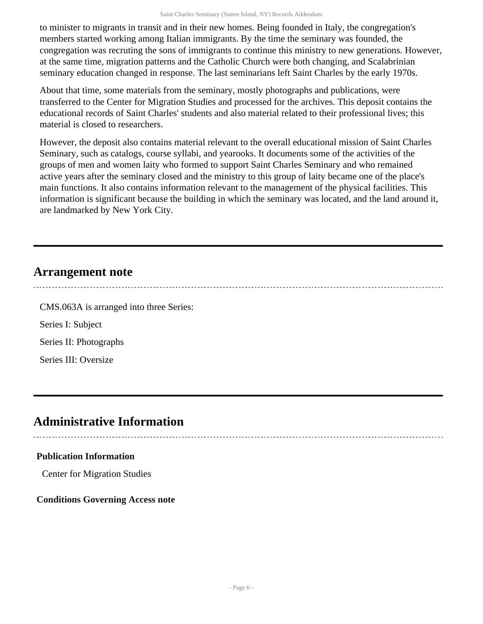to minister to migrants in transit and in their new homes. Being founded in Italy, the congregation's members started working among Italian immigrants. By the time the seminary was founded, the congregation was recruting the sons of immigrants to continue this ministry to new generations. However, at the same time, migration patterns and the Catholic Church were both changing, and Scalabrinian seminary education changed in response. The last seminarians left Saint Charles by the early 1970s.

About that time, some materials from the seminary, mostly photographs and publications, were transferred to the Center for Migration Studies and processed for the archives. This deposit contains the educational records of Saint Charles' students and also material related to their professional lives; this material is closed to researchers.

However, the deposit also contains material relevant to the overall educational mission of Saint Charles Seminary, such as catalogs, course syllabi, and yearooks. It documents some of the activities of the groups of men and women laity who formed to support Saint Charles Seminary and who remained active years after the seminary closed and the ministry to this group of laity became one of the place's main functions. It also contains information relevant to the management of the physical facilities. This information is significant because the building in which the seminary was located, and the land around it, are landmarked by New York City.

## <span id="page-5-0"></span>**Arrangement note**

CMS.063A is arranged into three Series: Series I: Subject Series II: Photographs Series III: Oversize

## <span id="page-5-1"></span>**Administrative Information**

## **Publication Information**

Center for Migration Studies

## **Conditions Governing Access note**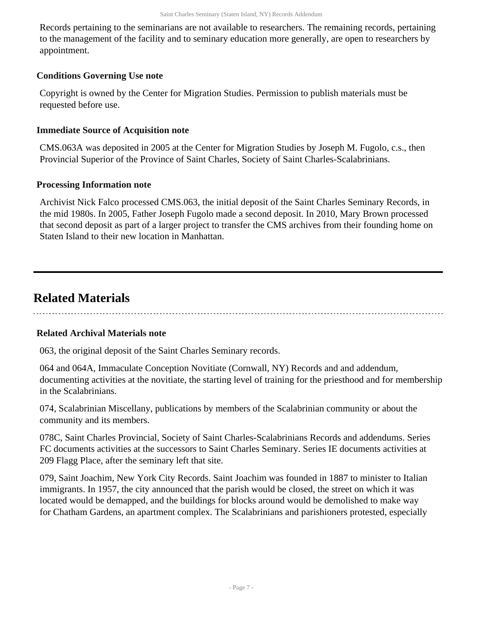Records pertaining to the seminarians are not available to researchers. The remaining records, pertaining to the management of the facility and to seminary education more generally, are open to researchers by appointment.

## **Conditions Governing Use note**

Copyright is owned by the Center for Migration Studies. Permission to publish materials must be requested before use.

## **Immediate Source of Acquisition note**

CMS.063A was deposited in 2005 at the Center for Migration Studies by Joseph M. Fugolo, c.s., then Provincial Superior of the Province of Saint Charles, Society of Saint Charles-Scalabrinians.

## **Processing Information note**

Archivist Nick Falco processed CMS.063, the initial deposit of the Saint Charles Seminary Records, in the mid 1980s. In 2005, Father Joseph Fugolo made a second deposit. In 2010, Mary Brown processed that second deposit as part of a larger project to transfer the CMS archives from their founding home on Staten Island to their new location in Manhattan.

## <span id="page-6-0"></span>**Related Materials**

## **Related Archival Materials note**

063, the original deposit of the Saint Charles Seminary records.

064 and 064A, Immaculate Conception Novitiate (Cornwall, NY) Records and and addendum, documenting activities at the novitiate, the starting level of training for the priesthood and for membership in the Scalabrinians.

074, Scalabrinian Miscellany, publications by members of the Scalabrinian community or about the community and its members.

078C, Saint Charles Provincial, Society of Saint Charles-Scalabrinians Records and addendums. Series FC documents activities at the successors to Saint Charles Seminary. Series IE documents activities at 209 Flagg Place, after the seminary left that site.

079, Saint Joachim, New York City Records. Saint Joachim was founded in 1887 to minister to Italian immigrants. In 1957, the city announced that the parish would be closed, the street on which it was located would be demapped, and the buildings for blocks around would be demolished to make way for Chatham Gardens, an apartment complex. The Scalabrinians and parishioners protested, especially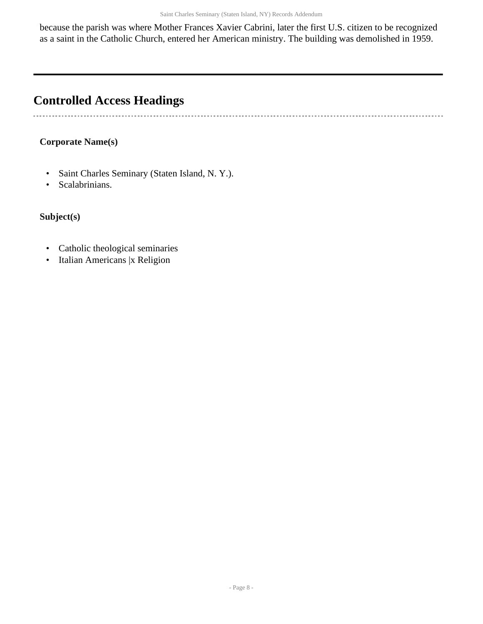because the parish was where Mother Frances Xavier Cabrini, later the first U.S. citizen to be recognized as a saint in the Catholic Church, entered her American ministry. The building was demolished in 1959.

# <span id="page-7-0"></span>**Controlled Access Headings**

## **Corporate Name(s)**

- Saint Charles Seminary (Staten Island, N. Y.).
- Scalabrinians.

## **Subject(s)**

 $\ddot{\phantom{0}}$ 

- Catholic theological seminaries
- Italian Americans |x Religion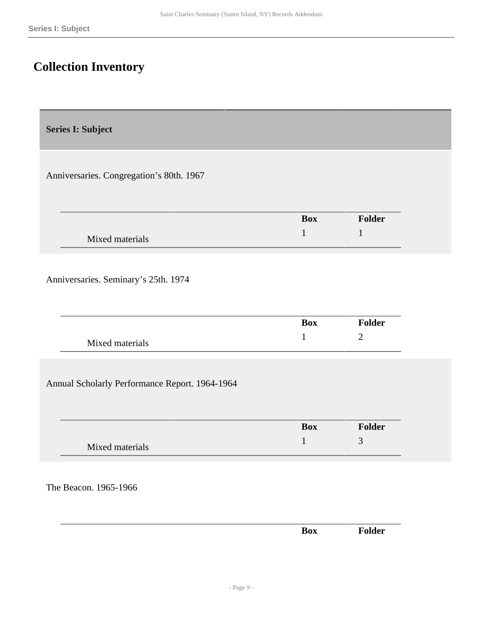## <span id="page-8-0"></span>**Collection Inventory**

<span id="page-8-1"></span>**Series I: Subject** 

Anniversaries. Congregation's 80th. 1967

|                 | <b>Box</b> | <b>Folder</b> |
|-----------------|------------|---------------|
| Mixed materials |            |               |

Anniversaries. Seminary's 25th. 1974

|                 | <b>Box</b> | $\nabla$ older |
|-----------------|------------|----------------|
| Mixed materials |            |                |

Annual Scholarly Performance Report. 1964-1964

|                 | Box | <b>Folder</b> |
|-----------------|-----|---------------|
| Mixed materials |     | ັ             |

The Beacon. 1965-1966

|  | Box | Folder |
|--|-----|--------|
|  |     |        |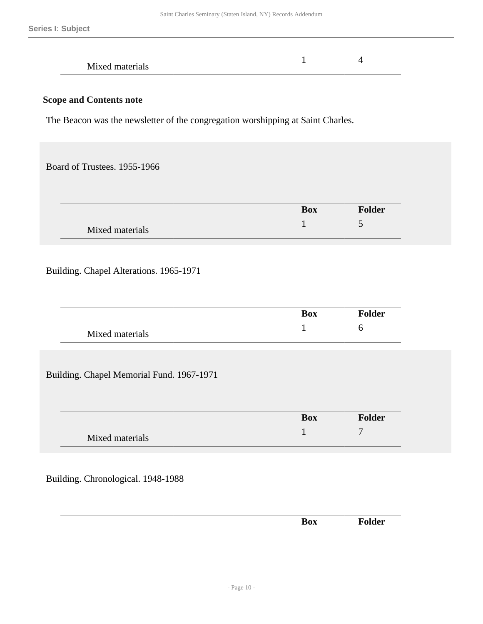| Mixed materials |  |  |
|-----------------|--|--|
|                 |  |  |

The Beacon was the newsletter of the congregation worshipping at Saint Charles.

Board of Trustees. 1955-1966

|                 | <b>Box</b> | <b>Folder</b> |
|-----------------|------------|---------------|
| Mixed materials |            | ັ             |

## Building. Chapel Alterations. 1965-1971

|                 | Box | <b>Folder</b> |
|-----------------|-----|---------------|
| Mixed materials |     |               |

Building. Chapel Memorial Fund. 1967-1971

|                 | <b>Box</b> | <b>Folder</b>  |
|-----------------|------------|----------------|
| Mixed materials |            | $\overline{ }$ |

Building. Chronological. 1948-1988

| __ |  |  |
|----|--|--|
|    |  |  |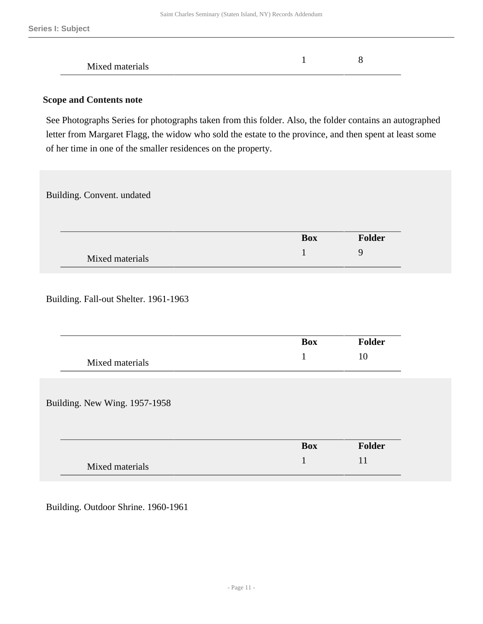| Mixed materials |  |  |
|-----------------|--|--|
|-----------------|--|--|

See Photographs Series for photographs taken from this folder. Also, the folder contains an autographed letter from Margaret Flagg, the widow who sold the estate to the province, and then spent at least some of her time in one of the smaller residences on the property.

Building. Convent. undated

|                 | <b>Box</b> | <b>Folder</b> |
|-----------------|------------|---------------|
| Mixed materials |            |               |

Building. Fall-out Shelter. 1961-1963

|                               | <b>Box</b> | Folder |
|-------------------------------|------------|--------|
| Mixed materials               | 1          | 10     |
|                               |            |        |
|                               |            |        |
| Building. New Wing. 1957-1958 |            |        |
|                               |            |        |
|                               | <b>Box</b> | Folder |

Building. Outdoor Shrine. 1960-1961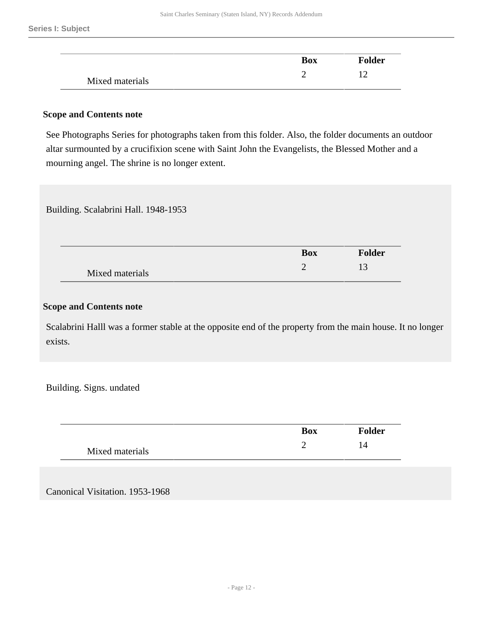|                 | <b>Box</b> | Folder |
|-----------------|------------|--------|
| Mixed materials |            |        |

See Photographs Series for photographs taken from this folder. Also, the folder documents an outdoor altar surmounted by a crucifixion scene with Saint John the Evangelists, the Blessed Mother and a mourning angel. The shrine is no longer extent.

#### Building. Scalabrini Hall. 1948-1953

|                 | <b>Box</b> | <b>Folder</b> |
|-----------------|------------|---------------|
| Mixed materials |            | ⊥⊃            |

#### **Scope and Contents note**

Scalabrini Halll was a former stable at the opposite end of the property from the main house. It no longer exists.

Building. Signs. undated

|                 | <b>Box</b> | <b>Folder</b> |
|-----------------|------------|---------------|
| Mixed materials |            | l4            |

Canonical Visitation. 1953-1968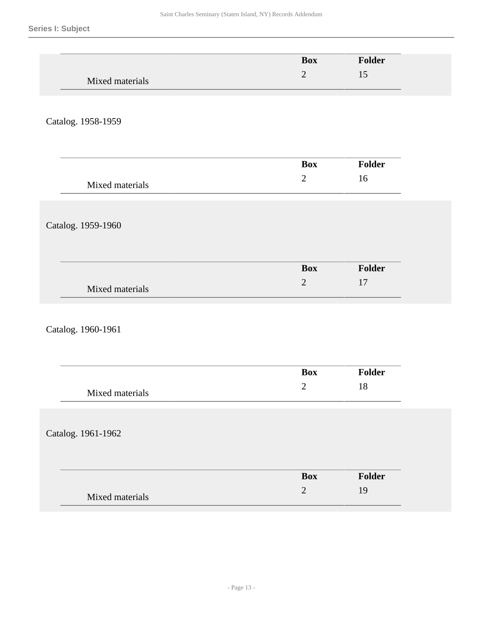|                    | <b>Box</b>                   | Folder       |
|--------------------|------------------------------|--------------|
| Mixed materials    | $\overline{2}$               | 15           |
| Catalog. 1958-1959 |                              |              |
|                    |                              |              |
|                    | <b>Box</b>                   | Folder       |
| Mixed materials    | $\sqrt{2}$                   | 16           |
| Catalog. 1959-1960 |                              |              |
|                    |                              |              |
| Mixed materials    | <b>Box</b><br>$\overline{2}$ | Folder<br>17 |
|                    |                              |              |
| Catalog. 1960-1961 |                              |              |
|                    | <b>Box</b>                   | Folder       |

|                 | <b>Box</b> | Folder |
|-----------------|------------|--------|
| Mixed materials | -          |        |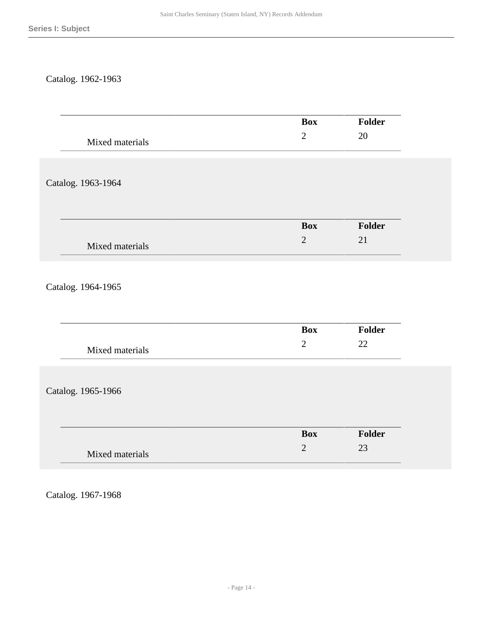## Catalog. 1962-1963

|                    |              | <b>Box</b> | Folder |
|--------------------|--------------|------------|--------|
| Mixed materials    | $\sqrt{2}$   |            | $20\,$ |
|                    |              |            |        |
|                    |              |            |        |
| Catalog. 1963-1964 |              |            |        |
|                    |              |            |        |
|                    |              |            |        |
|                    |              | <b>Box</b> | Folder |
|                    | $\sqrt{2}$   |            | 21     |
| Mixed materials    |              |            |        |
|                    |              |            |        |
|                    |              |            |        |
| Catalog. 1964-1965 |              |            |        |
|                    |              |            |        |
|                    |              |            |        |
|                    |              | Box        | Folder |
| Mixed materials    | $\mathbf{2}$ |            | 22     |
|                    |              |            |        |
|                    |              |            |        |
| Catalog. 1965-1966 |              |            |        |
|                    |              |            |        |
|                    |              |            |        |
|                    |              | <b>Box</b> | Folder |
|                    | $\sqrt{2}$   |            | 23     |
| Mixed materials    |              |            |        |
|                    |              |            |        |

Catalog. 1967-1968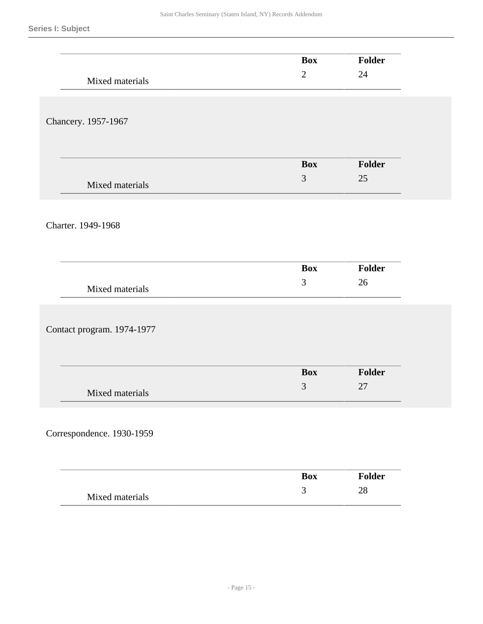|                            | <b>Box</b>     | Folder |
|----------------------------|----------------|--------|
|                            | $\sqrt{2}$     | 24     |
| Mixed materials            |                |        |
|                            |                |        |
|                            |                |        |
| Chancery. 1957-1967        |                |        |
|                            |                |        |
|                            |                |        |
|                            | <b>Box</b>     | Folder |
| Mixed materials            | 3              | 25     |
|                            |                |        |
|                            |                |        |
| Charter. 1949-1968         |                |        |
|                            |                |        |
|                            |                |        |
|                            | <b>Box</b>     | Folder |
|                            | 3              | 26     |
| Mixed materials            |                |        |
|                            |                |        |
|                            |                |        |
| Contact program. 1974-1977 |                |        |
|                            |                |        |
|                            |                |        |
|                            | <b>Box</b>     | Folder |
| Mixed materials            | $\mathfrak{Z}$ | 27     |
|                            |                |        |
|                            |                |        |
| Correspondence. 1930-1959  |                |        |
|                            |                |        |
|                            |                |        |
|                            | <b>Box</b>     | Folder |
|                            |                |        |
| Mixed materials            | $\mathfrak{Z}$ | $28\,$ |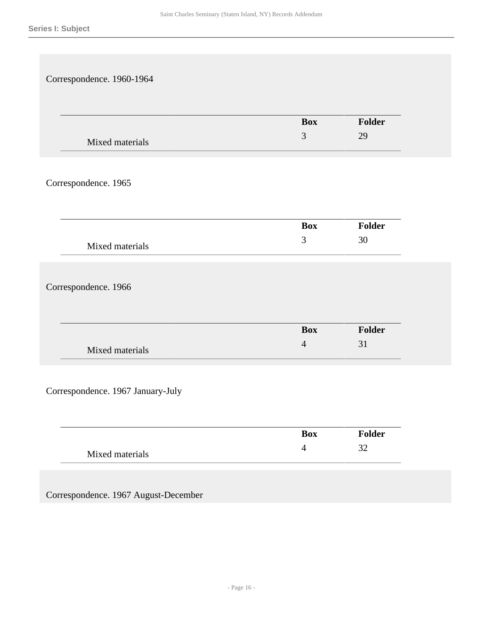| Correspondence. 1960-1964         |                |               |
|-----------------------------------|----------------|---------------|
|                                   |                |               |
|                                   |                |               |
|                                   | <b>Box</b>     | Folder        |
| Mixed materials                   | $\mathfrak{Z}$ | 29            |
|                                   |                |               |
| Correspondence. 1965              |                |               |
|                                   |                |               |
|                                   |                |               |
|                                   | <b>Box</b>     | Folder        |
| Mixed materials                   | $\mathfrak{Z}$ | $30\,$        |
|                                   |                |               |
|                                   |                |               |
| Correspondence. 1966              |                |               |
|                                   |                |               |
|                                   | <b>Box</b>     | <b>Folder</b> |
| Mixed materials                   | $\overline{4}$ | 31            |
|                                   |                |               |
|                                   |                |               |
|                                   |                |               |
| Correspondence. 1967 January-July |                |               |
|                                   |                |               |
|                                   | <b>Box</b>     | Folder        |

Correspondence. 1967 August-December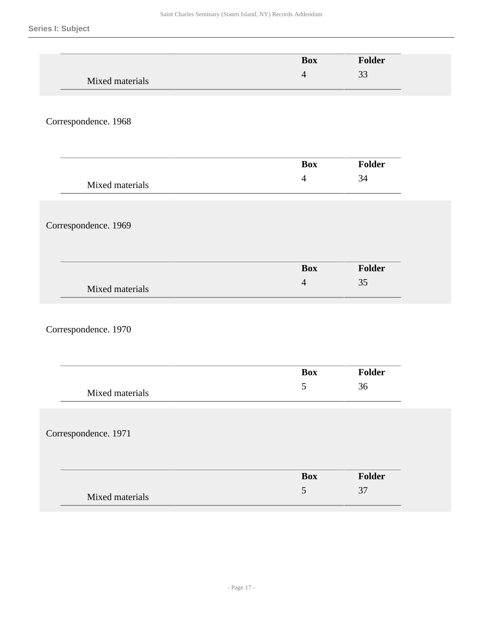|                      | <b>Box</b>     | Folder |
|----------------------|----------------|--------|
| Mixed materials      | $\overline{4}$ | 33     |
|                      |                |        |
|                      |                |        |
| Correspondence. 1968 |                |        |
|                      |                |        |
|                      | <b>Box</b>     | Folder |
|                      | $\overline{4}$ | 34     |
| Mixed materials      |                |        |
|                      |                |        |
| Correspondence. 1969 |                |        |
|                      |                |        |
|                      |                |        |
|                      | <b>Box</b>     | Folder |
| Mixed materials      | $\overline{4}$ | 35     |
|                      |                |        |
| Correspondence. 1970 |                |        |
|                      |                |        |
|                      |                |        |
|                      | <b>Box</b>     | Folder |
| Mixed materials      | $\mathfrak{S}$ | 36     |
|                      |                |        |
|                      |                |        |
| Correspondence. 1971 |                |        |
|                      |                |        |
|                      | <b>Box</b>     | Folder |
| Mixed materials      | $\mathfrak s$  | 37     |
|                      |                |        |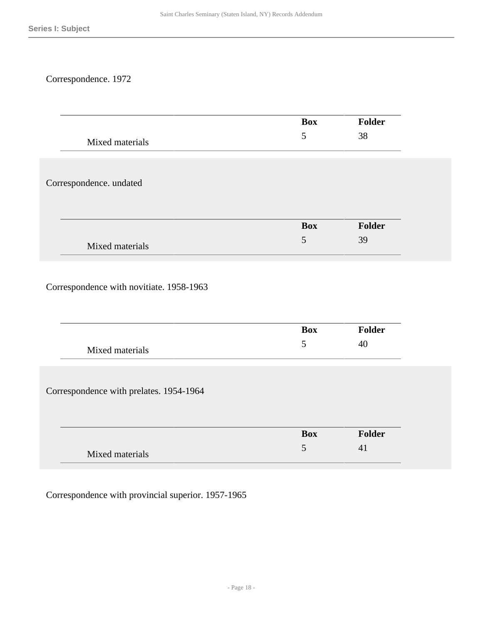## Correspondence. 1972

|                         | <b>Box</b> | Folder |
|-------------------------|------------|--------|
| Mixed materials         | 5          | 38     |
|                         |            |        |
| Correspondence. undated |            |        |
|                         |            |        |
|                         | <b>Box</b> | Folder |
|                         | 5          | 39     |

|                                         | <b>Box</b> | <b>Folder</b> |
|-----------------------------------------|------------|---------------|
| Mixed materials                         | 5          | 40            |
|                                         |            |               |
| Correspondence with prelates. 1954-1964 |            |               |
|                                         |            |               |
|                                         | <b>Box</b> | Folder        |
| Mixed materials                         | 5          | 41            |

Correspondence with provincial superior. 1957-1965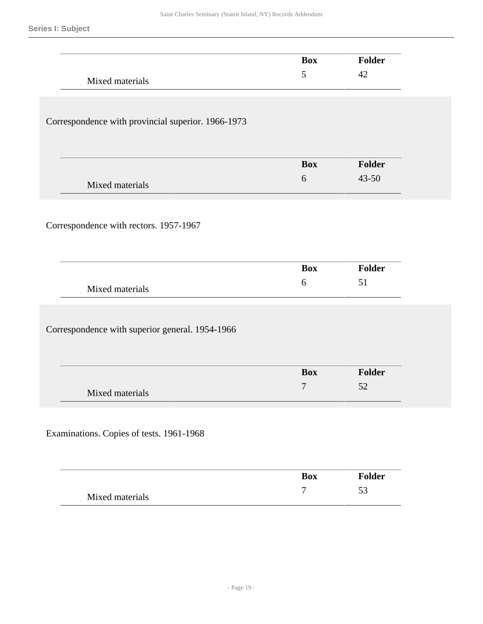|                                                    | <b>Box</b>       | <b>Folder</b> |
|----------------------------------------------------|------------------|---------------|
| Mixed materials                                    | $\mathfrak{S}$   | 42            |
|                                                    |                  |               |
|                                                    |                  |               |
| Correspondence with provincial superior. 1966-1973 |                  |               |
|                                                    |                  |               |
|                                                    |                  |               |
|                                                    | <b>Box</b>       | Folder        |
| Mixed materials                                    | 6                | 43-50         |
|                                                    |                  |               |
|                                                    |                  |               |
| Correspondence with rectors. 1957-1967             |                  |               |
|                                                    |                  |               |
|                                                    |                  |               |
|                                                    | <b>Box</b>       | <b>Folder</b> |
| Mixed materials                                    | 6                | 51            |
|                                                    |                  |               |
|                                                    |                  |               |
| Correspondence with superior general. 1954-1966    |                  |               |
|                                                    |                  |               |
|                                                    |                  |               |
|                                                    | <b>Box</b>       | Folder        |
| Mixed materials                                    | $\overline{7}$   | 52            |
|                                                    |                  |               |
|                                                    |                  |               |
| Examinations. Copies of tests. 1961-1968           |                  |               |
|                                                    |                  |               |
|                                                    |                  |               |
|                                                    | <b>Box</b>       | Folder        |
| Mixed materials                                    | $\boldsymbol{7}$ | 53            |
|                                                    |                  |               |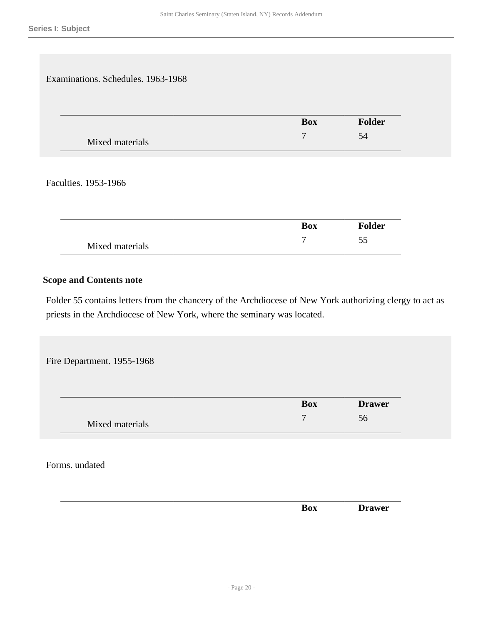Examinations. Schedules. 1963-1968 **Box Folder** Mixed materials 7 54

Faculties. 1953-1966

|                 | <b>Box</b> | <b>Folder</b> |
|-----------------|------------|---------------|
| Mixed materials |            | ັ             |

### **Scope and Contents note**

Folder 55 contains letters from the chancery of the Archdiocese of New York authorizing clergy to act as priests in the Archdiocese of New York, where the seminary was located.

Fire Department. 1955-1968

|                 | <b>Box</b> | <b>Drawer</b> |
|-----------------|------------|---------------|
| Mixed materials |            | 56            |

Forms. undated

|  | __ |              |         |
|--|----|--------------|---------|
|  |    | $\mathbf{A}$ | - - - - |
|  |    |              |         |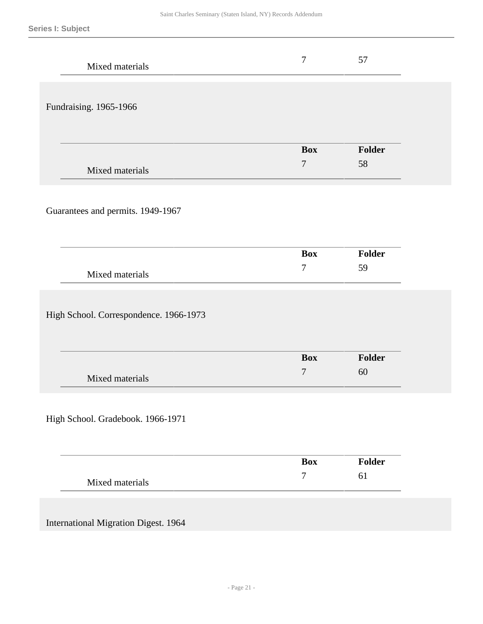| Mixed materials                             | $\tau$         | 57     |
|---------------------------------------------|----------------|--------|
| Fundraising. 1965-1966                      |                |        |
|                                             | <b>Box</b>     | Folder |
| Mixed materials                             | $\overline{7}$ | 58     |
| Guarantees and permits. 1949-1967           |                |        |
|                                             | <b>Box</b>     | Folder |
| Mixed materials                             | $\tau$         | 59     |
| High School. Correspondence. 1966-1973      |                |        |
|                                             | <b>Box</b>     | Folder |
| Mixed materials                             | 7              | 60     |
| High School. Gradebook. 1966-1971           |                |        |
|                                             | <b>Box</b>     | Folder |
| Mixed materials                             | $\overline{7}$ | 61     |
| <b>International Migration Digest. 1964</b> |                |        |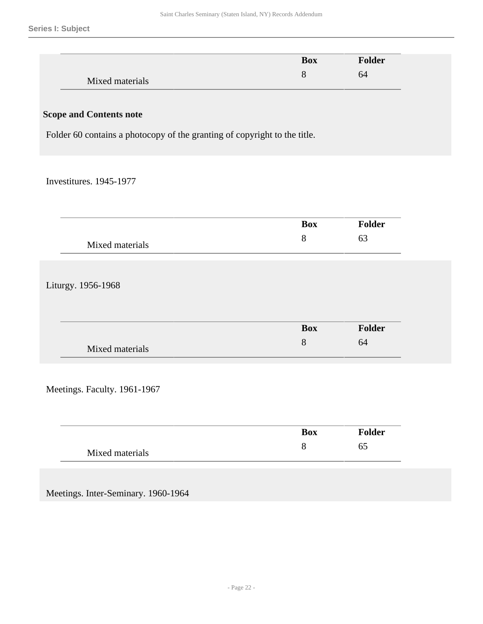|                                                                           | <b>Box</b>      | Folder        |
|---------------------------------------------------------------------------|-----------------|---------------|
| Mixed materials                                                           | $8\,$           | 64            |
|                                                                           |                 |               |
| <b>Scope and Contents note</b>                                            |                 |               |
| Folder 60 contains a photocopy of the granting of copyright to the title. |                 |               |
|                                                                           |                 |               |
|                                                                           |                 |               |
| Investitures. 1945-1977                                                   |                 |               |
|                                                                           |                 |               |
|                                                                           | <b>Box</b>      | Folder        |
| Mixed materials                                                           | 8               | 63            |
|                                                                           |                 |               |
|                                                                           |                 |               |
| Liturgy. 1956-1968                                                        |                 |               |
|                                                                           |                 |               |
|                                                                           |                 |               |
|                                                                           | <b>Box</b><br>8 | Folder<br>64  |
| Mixed materials                                                           |                 |               |
|                                                                           |                 |               |
| Meetings. Faculty. 1961-1967                                              |                 |               |
|                                                                           |                 |               |
|                                                                           |                 |               |
|                                                                           | <b>Box</b>      | <b>Folder</b> |
| Mixed materials                                                           | 8               | 65            |
|                                                                           |                 |               |
|                                                                           |                 |               |
| Meetings. Inter-Seminary. 1960-1964                                       |                 |               |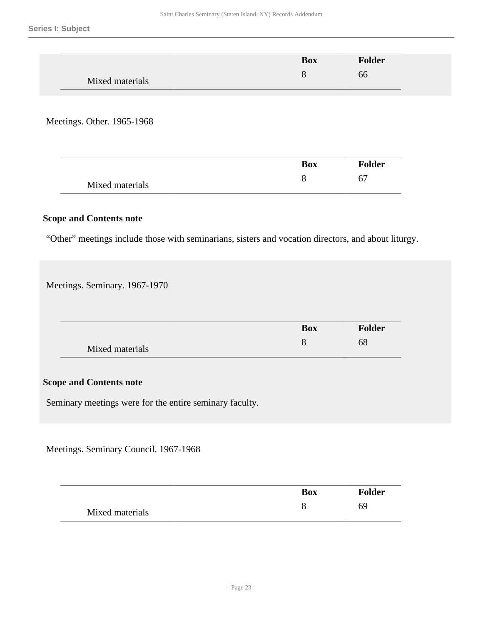|                 | <b>Box</b> | Folder |  |
|-----------------|------------|--------|--|
|                 | O          | bb     |  |
| Mixed materials |            |        |  |

Meetings. Other. 1965-1968

|                 | <b>Box</b> | <b>Folder</b> |
|-----------------|------------|---------------|
| Mixed materials |            |               |

#### **Scope and Contents note**

"Other" meetings include those with seminarians, sisters and vocation directors, and about liturgy.

Meetings. Seminary. 1967-1970

|                 | <b>Box</b> | <b>Folder</b> |
|-----------------|------------|---------------|
| Mixed materials |            | 68            |

### **Scope and Contents note**

Seminary meetings were for the entire seminary faculty.

Meetings. Seminary Council. 1967-1968

|                 | <b>Box</b> | <b>Folder</b> |
|-----------------|------------|---------------|
| Mixed materials |            |               |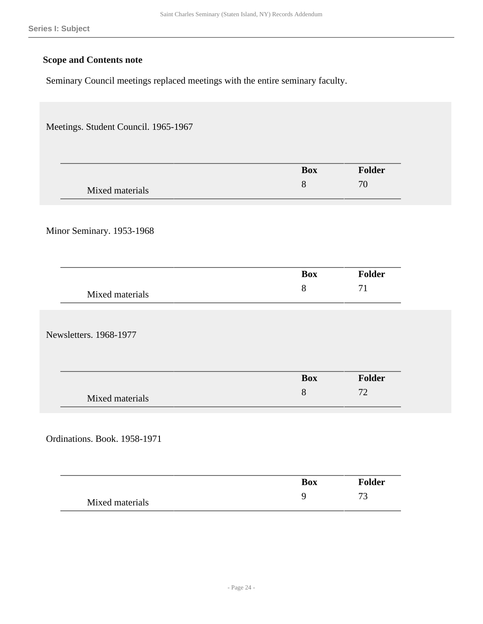Seminary Council meetings replaced meetings with the entire seminary faculty.

| Meetings. Student Council. 1965-1967 |            |               |
|--------------------------------------|------------|---------------|
|                                      |            |               |
|                                      | <b>Box</b> | <b>Folder</b> |
| Mixed materials                      | $8\,$      | 70            |
|                                      |            |               |
| Minor Seminary. 1953-1968            |            |               |
|                                      |            |               |
|                                      |            |               |
|                                      | <b>Box</b> | <b>Folder</b> |
| Mixed materials                      | $8\,$      | 71            |
|                                      |            |               |
| Newsletters. 1968-1977               |            |               |
|                                      |            |               |
|                                      | <b>Box</b> | <b>Folder</b> |
| Mixed materials                      | $8\,$      | 72            |
|                                      |            |               |
|                                      |            |               |
| Ordinations. Book. 1958-1971         |            |               |
|                                      |            |               |
|                                      | <b>Box</b> | <b>Folder</b> |
| Mixed materials                      | 9          | 73            |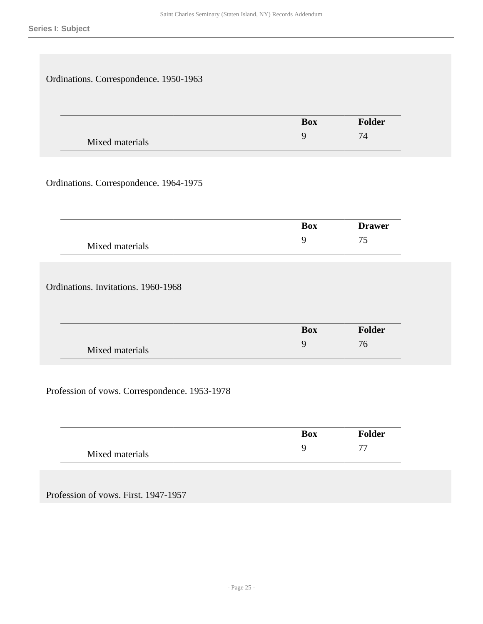| Ordinations. Correspondence. 1950-1963 |                |               |
|----------------------------------------|----------------|---------------|
|                                        | <b>Box</b>     | Folder        |
| Mixed materials                        | 9              | 74            |
| Ordinations. Correspondence. 1964-1975 |                |               |
|                                        | <b>Box</b>     | <b>Drawer</b> |
| Mixed materials                        | $\overline{9}$ | 75            |
| Ordinations. Invitations. 1960-1968    |                |               |
|                                        | <b>Box</b>     | Folder        |
| Mixed materials                        | 9              | 76            |

Profession of vows. Correspondence. 1953-1978

|                 | <b>Box</b> | <b>Folder</b>            |
|-----------------|------------|--------------------------|
| Mixed materials |            | $\overline{\phantom{m}}$ |

Profession of vows. First. 1947-1957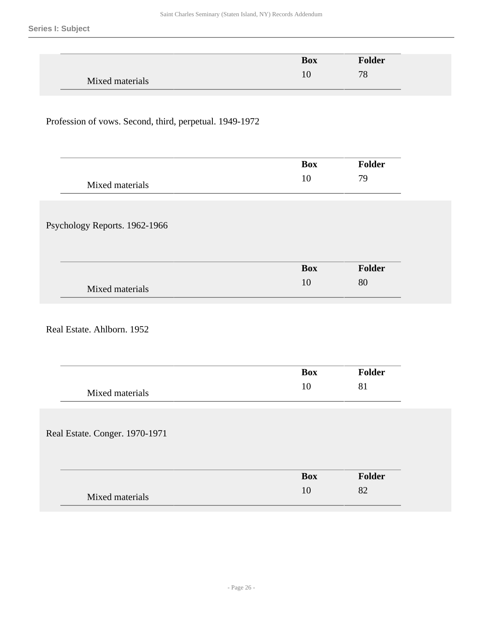|                                                         | <b>Box</b>       | Folder       |
|---------------------------------------------------------|------------------|--------------|
| Mixed materials                                         | 10               | 78           |
|                                                         |                  |              |
|                                                         |                  |              |
| Profession of vows. Second, third, perpetual. 1949-1972 |                  |              |
|                                                         |                  |              |
|                                                         |                  |              |
|                                                         | <b>Box</b>       | Folder       |
|                                                         |                  |              |
|                                                         |                  |              |
| Mixed materials                                         | 10               | 79           |
|                                                         |                  |              |
|                                                         |                  |              |
|                                                         |                  |              |
|                                                         |                  |              |
| Psychology Reports. 1962-1966                           |                  |              |
|                                                         |                  |              |
|                                                         | <b>Box</b><br>10 | Folder<br>80 |

Real Estate. Ahlborn. 1952

|                                | Box        | <b>Folder</b> |
|--------------------------------|------------|---------------|
| Mixed materials                | 10         | 81            |
|                                |            |               |
| Real Estate. Conger. 1970-1971 |            |               |
|                                |            |               |
|                                | <b>Box</b> | <b>Folder</b> |
| Mixed materials                | 10         | 82            |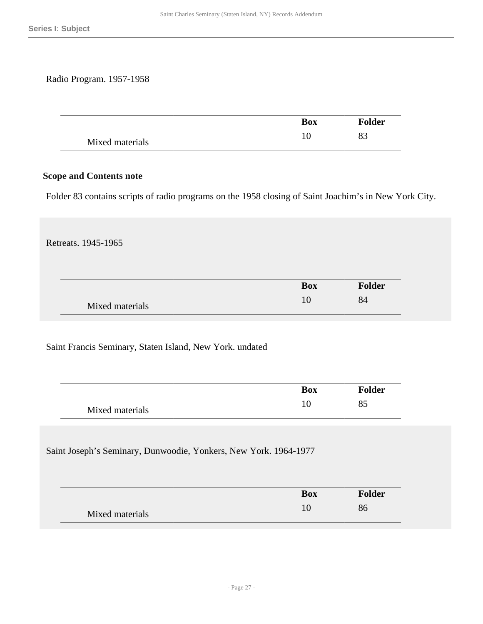#### Radio Program. 1957-1958

|                 | <b>Box</b> | <b>Folder</b> |
|-----------------|------------|---------------|
| Mixed materials |            |               |

#### **Scope and Contents note**

Folder 83 contains scripts of radio programs on the 1958 closing of Saint Joachim's in New York City.

Retreats. 1945-1965

|                 | <b>Box</b> | <b>Folder</b> |
|-----------------|------------|---------------|
| Mixed materials |            | 84            |

Saint Francis Seminary, Staten Island, New York. undated

|                 | <b>Box</b> | <b>Folder</b> |
|-----------------|------------|---------------|
| Mixed materials | 1 ∪        | Ō.            |

Saint Joseph's Seminary, Dunwoodie, Yonkers, New York. 1964-1977

|                 | <b>Box</b> | <b>Folder</b> |
|-----------------|------------|---------------|
| Mixed materials |            |               |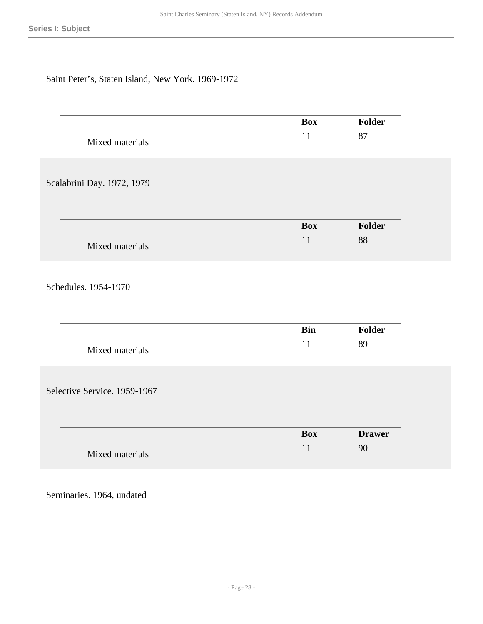## Saint Peter's, Staten Island, New York. 1969-1972

|                              | <b>Box</b> | <b>Folder</b> |
|------------------------------|------------|---------------|
| Mixed materials              | 11         | 87            |
|                              |            |               |
|                              |            |               |
| Scalabrini Day. 1972, 1979   |            |               |
|                              |            |               |
|                              |            |               |
|                              | <b>Box</b> | Folder        |
| Mixed materials              | 11         | 88            |
|                              |            |               |
|                              |            |               |
| Schedules. 1954-1970         |            |               |
|                              |            |               |
|                              | <b>Bin</b> | <b>Folder</b> |
|                              | 11         | 89            |
| Mixed materials              |            |               |
|                              |            |               |
|                              |            |               |
| Selective Service. 1959-1967 |            |               |
|                              |            |               |
|                              | <b>Box</b> | <b>Drawer</b> |
|                              | 11         | 90            |
| Mixed materials              |            |               |
|                              |            |               |

Seminaries. 1964, undated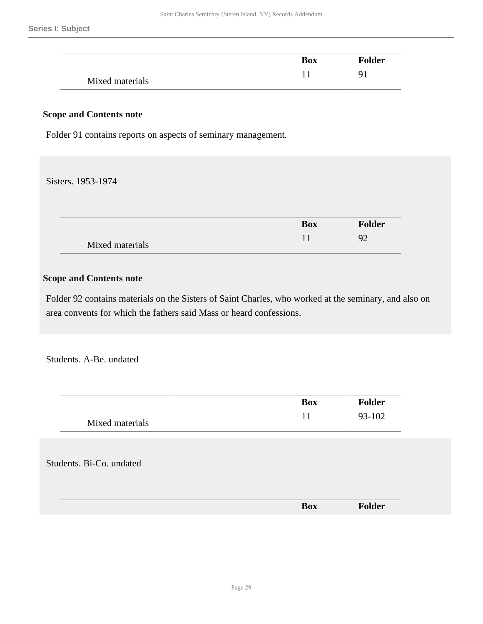|                 | <b>Box</b> | <b>Folder</b> |
|-----------------|------------|---------------|
| Mixed materials |            |               |

Folder 91 contains reports on aspects of seminary management.

#### Sisters. 1953-1974

|                 | <b>Box</b> | Folder |
|-----------------|------------|--------|
| Mixed materials |            | O^     |

#### **Scope and Contents note**

Folder 92 contains materials on the Sisters of Saint Charles, who worked at the seminary, and also on area convents for which the fathers said Mass or heard confessions.

Students. A-Be. undated

| 93-102<br>11<br>Mixed materials<br>Students. Bi-Co. undated | <b>Box</b> | <b>Folder</b> |
|-------------------------------------------------------------|------------|---------------|
|                                                             |            |               |
|                                                             |            |               |
|                                                             |            |               |
|                                                             |            |               |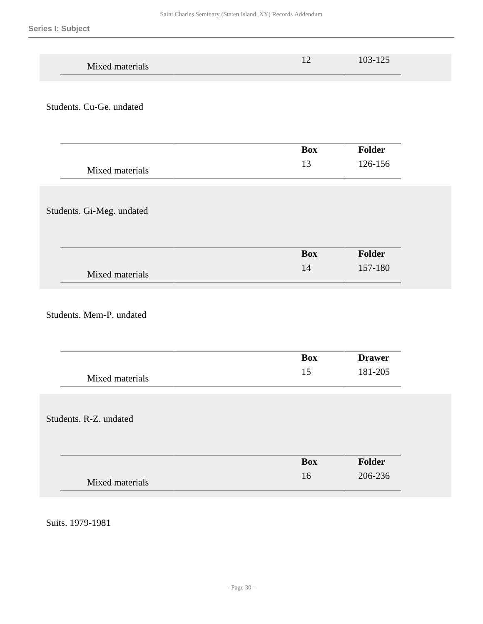| Mixed materials           | 12               | 103-125                  |  |
|---------------------------|------------------|--------------------------|--|
| Students. Cu-Ge. undated  |                  |                          |  |
| Mixed materials           | <b>Box</b><br>13 | <b>Folder</b><br>126-156 |  |
| Students. Gi-Meg. undated |                  |                          |  |
| Mixed materials           | <b>Box</b><br>14 | Folder<br>157-180        |  |
| Students. Mem-P. undated  |                  |                          |  |
| Mixed materials           | <b>Box</b><br>15 | <b>Drawer</b><br>181-205 |  |
| Students. R-Z. undated    |                  |                          |  |
| Mixed materials           | <b>Box</b><br>16 | Folder<br>206-236        |  |

Suits. 1979-1981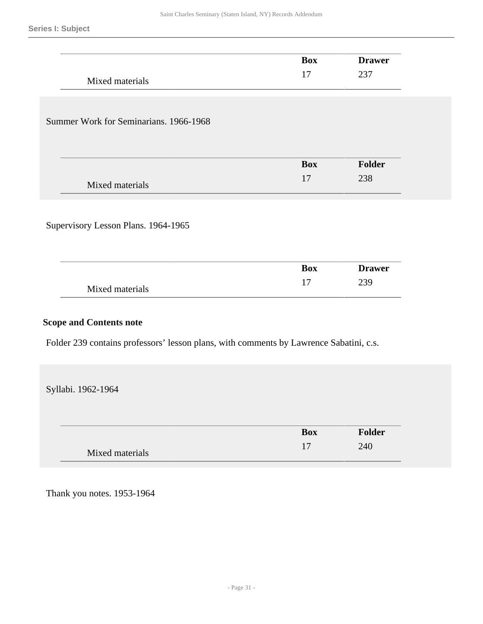|                                        | <b>Box</b> | <b>Drawer</b> |
|----------------------------------------|------------|---------------|
| Mixed materials                        | 17         | 237           |
|                                        |            |               |
| Summer Work for Seminarians. 1966-1968 |            |               |
|                                        |            |               |
|                                        | <b>Box</b> | <b>Folder</b> |
| Mixed materials                        | 17         | 238           |
|                                        |            |               |
| Supervisory Lesson Plans. 1964-1965    |            |               |
|                                        |            |               |
|                                        | <b>Box</b> | <b>Drawer</b> |
|                                        |            |               |
| Mixed materials                        | 17         | 239           |

Folder 239 contains professors' lesson plans, with comments by Lawrence Sabatini, c.s.

Syllabi. 1962-1964

|                 | <b>Box</b> | <b>Folder</b> |
|-----------------|------------|---------------|
| Mixed materials | $\sim$     | 240           |

Thank you notes. 1953-1964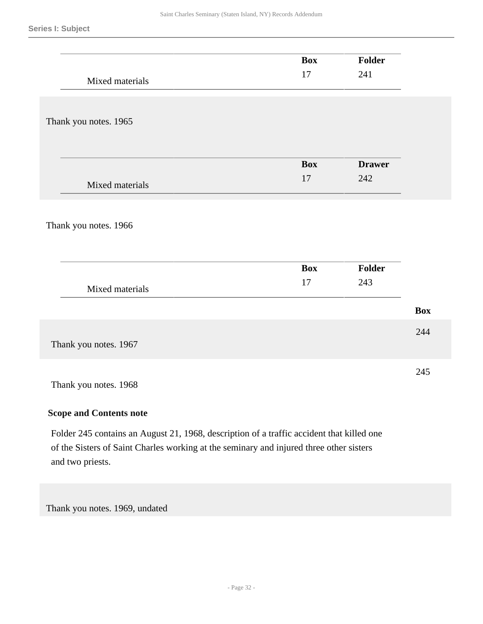|                       | <b>Box</b> | Folder        |            |
|-----------------------|------------|---------------|------------|
|                       | 17         | 241           |            |
| Mixed materials       |            |               |            |
|                       |            |               |            |
|                       |            |               |            |
| Thank you notes. 1965 |            |               |            |
|                       |            |               |            |
|                       |            |               |            |
|                       | Box        | <b>Drawer</b> |            |
| Mixed materials       | $17\,$     | 242           |            |
|                       |            |               |            |
|                       |            |               |            |
|                       |            |               |            |
| Thank you notes. 1966 |            |               |            |
|                       |            |               |            |
|                       |            |               |            |
|                       | Box        | Folder        |            |
| Mixed materials       | 17         | 243           |            |
|                       |            |               |            |
|                       |            |               | <b>Box</b> |
|                       |            |               |            |
|                       |            |               | 244        |
| Thank you notes. 1967 |            |               |            |
|                       |            |               |            |
|                       |            |               | 245        |
| Thank you notes. 1968 |            |               |            |
|                       |            |               |            |

Folder 245 contains an August 21, 1968, description of a traffic accident that killed one of the Sisters of Saint Charles working at the seminary and injured three other sisters and two priests.

Thank you notes. 1969, undated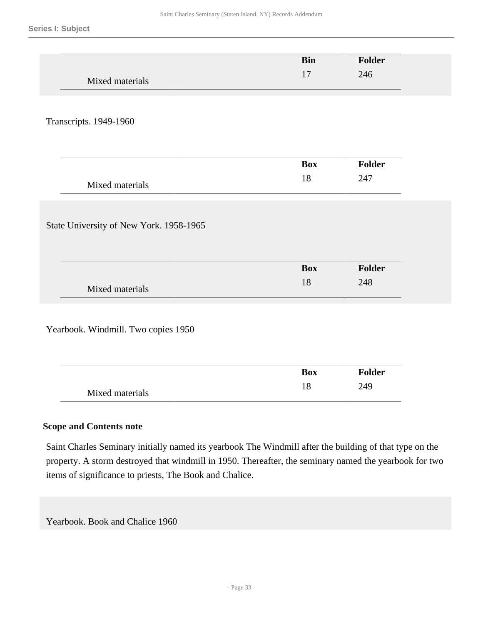|                                                        | <b>Bin</b>       | Folder               |
|--------------------------------------------------------|------------------|----------------------|
| Mixed materials                                        | 17               | 246                  |
|                                                        |                  |                      |
| Transcripts. 1949-1960                                 |                  |                      |
|                                                        | <b>Box</b>       | Folder               |
| Mixed materials                                        | 18               | 247                  |
|                                                        |                  |                      |
| State University of New York. 1958-1965                |                  |                      |
|                                                        | <b>Box</b><br>18 | <b>Folder</b><br>248 |
| Mixed materials<br>Yearbook. Windmill. Two copies 1950 |                  |                      |
|                                                        | <b>Box</b>       | <b>Folder</b>        |

Saint Charles Seminary initially named its yearbook The Windmill after the building of that type on the property. A storm destroyed that windmill in 1950. Thereafter, the seminary named the yearbook for two items of significance to priests, The Book and Chalice.

Yearbook. Book and Chalice 1960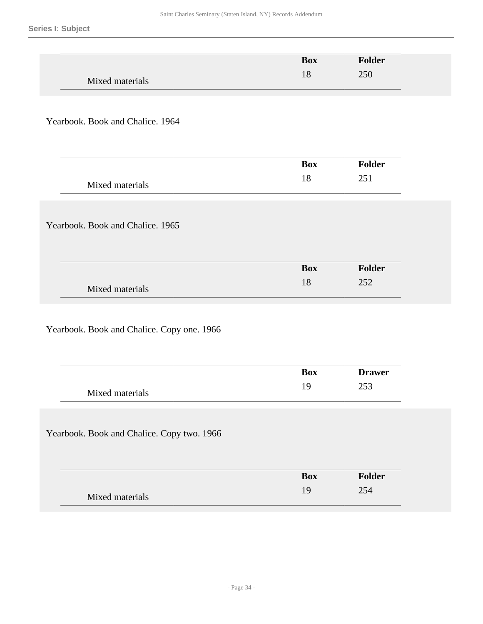|                                            | <b>Box</b> | Folder        |
|--------------------------------------------|------------|---------------|
| Mixed materials                            | 18         | 250           |
|                                            |            |               |
|                                            |            |               |
| Yearbook. Book and Chalice. 1964           |            |               |
|                                            |            |               |
|                                            |            |               |
|                                            | <b>Box</b> | Folder        |
| Mixed materials                            | 18         | 251           |
|                                            |            |               |
| Yearbook. Book and Chalice. 1965           |            |               |
|                                            |            |               |
|                                            |            |               |
|                                            | <b>Box</b> | Folder        |
| Mixed materials                            | 18         | 252           |
|                                            |            |               |
|                                            |            |               |
| Yearbook. Book and Chalice. Copy one. 1966 |            |               |
|                                            |            |               |
|                                            |            |               |
|                                            | <b>Box</b> | <b>Drawer</b> |
| Mixed materials                            | 19         | 253           |
|                                            |            |               |
| Yearbook. Book and Chalice. Copy two. 1966 |            |               |
|                                            |            |               |
|                                            |            |               |
|                                            | <b>Box</b> | Folder        |
| Mixed materials                            | 19         | 254           |
|                                            |            |               |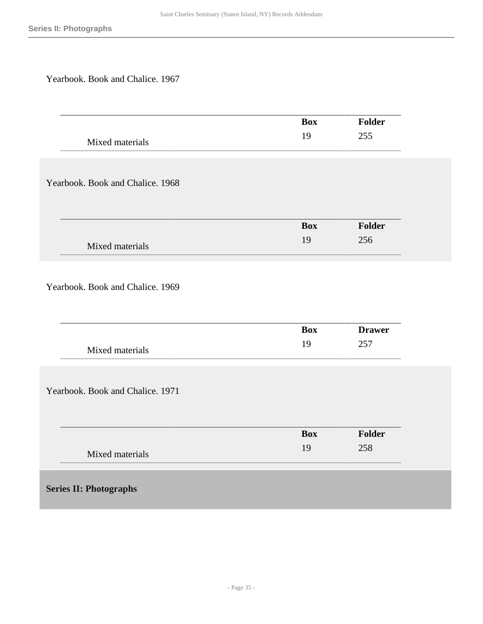Yearbook. Book and Chalice. 1967

<span id="page-34-0"></span>

|                                  | <b>Box</b> | Folder        |
|----------------------------------|------------|---------------|
| Mixed materials                  | 19         | 255           |
|                                  |            |               |
|                                  |            |               |
| Yearbook. Book and Chalice. 1968 |            |               |
|                                  |            |               |
|                                  |            |               |
|                                  | <b>Box</b> | Folder        |
|                                  |            |               |
| Mixed materials                  | 19         | 256           |
|                                  |            |               |
|                                  |            |               |
| Yearbook. Book and Chalice. 1969 |            |               |
|                                  |            |               |
|                                  |            |               |
|                                  | <b>Box</b> | <b>Drawer</b> |
| Mixed materials                  | 19         | 257           |
|                                  |            |               |
|                                  |            |               |
| Yearbook. Book and Chalice. 1971 |            |               |
|                                  |            |               |
|                                  |            |               |
|                                  | <b>Box</b> | Folder        |
|                                  | 19         | 258           |
| Mixed materials                  |            |               |
|                                  |            |               |
| <b>Series II: Photographs</b>    |            |               |
|                                  |            |               |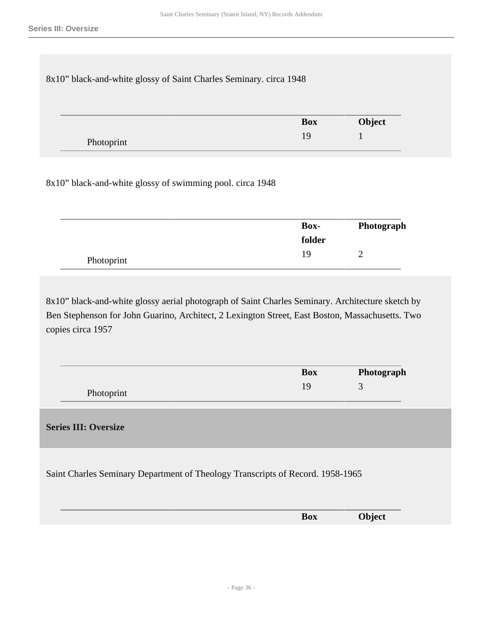| 8x10" black-and-white glossy of Saint Charles Seminary. circa 1948 |            |        |
|--------------------------------------------------------------------|------------|--------|
|                                                                    |            |        |
|                                                                    |            |        |
|                                                                    | <b>Box</b> | Object |

8x10" black-and-white glossy of swimming pool. circa 1948

|            | <b>Box-</b> | Photograph |
|------------|-------------|------------|
|            | folder      |            |
| Photoprint | 19          |            |

8x10" black-and-white glossy aerial photograph of Saint Charles Seminary. Architecture sketch by Ben Stephenson for John Guarino, Architect, 2 Lexington Street, East Boston, Massachusetts. Two copies circa 1957

|            | Box | Photograph |
|------------|-----|------------|
| Photoprint |     |            |

#### <span id="page-35-0"></span>**Series III: Oversize**

Saint Charles Seminary Department of Theology Transcripts of Record. 1958-1965

|  | ----- | Box | Object |  |
|--|-------|-----|--------|--|
|  |       |     |        |  |